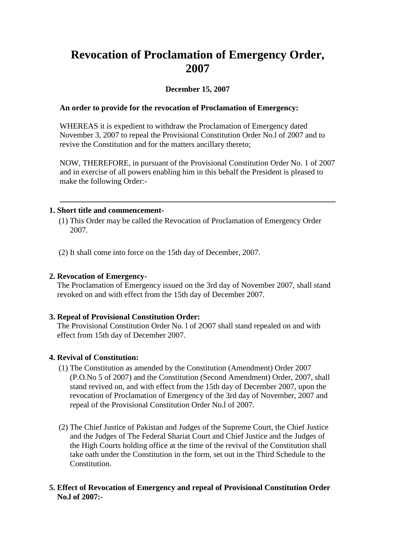# **Revocation of Proclamation of Emergency Order, 2007**

## **December 15, 2007**

### **An order to provide for the revocation of Proclamation of Emergency:**

WHEREAS it is expedient to withdraw the Proclamation of Emergency dated November 3, 2007 to repeal the Provisional Constitution Order No.l of 2007 and to revive the Constitution and for the matters ancillary thereto;

NOW, THEREFORE, in pursuant of the Provisional Constitution Order No. 1 of 2007 and in exercise of all powers enabling him in this behalf the President is pleased to make the following Order:-

#### **1. Short title and commencement-**

- (1) This Order may be called the Revocation of Proclamation of Emergency Order 2007.
- (2) It shall come into force on the 15th day of December, 2007.

#### **2. Revocation of Emergency-**

The Proclamation of Emergency issued on the 3rd day of November 2007, shall stand revoked on and with effect from the 15th day of December 2007.

#### **3. Repeal of Provisional Constitution Order:**

The Provisional Constitution Order No. l of 2O07 shall stand repealed on and with effect from 15th day of December 2007.

#### **4. Revival of Constitution:**

- (1) The Constitution as amended by the Constitution (Amendment) Order 2007 (P.O.No 5 of 2007) and the Constitution (Second Amendment) Order, 2007, shall stand revived on, and with effect from the 15th day of December 2007, upon the revocation of Proclamation of Emergency of the 3rd day of November, 2007 and repeal of the Provisional Constitution Order No.l of 2007.
- (2) The Chief Justice of Pakistan and Judges of the Supreme Court, the Chief Justice and the Judges of The Federal Shariat Court and Chief Justice and the Judges of the High Courts holding office at the time of the revival of the Constitution shall take oath under the Constitution in the form, set out in the Third Schedule to the Constitution.

#### **5. Effect of Revocation of Emergency and repeal of Provisional Constitution Order No.l of 2007:-**